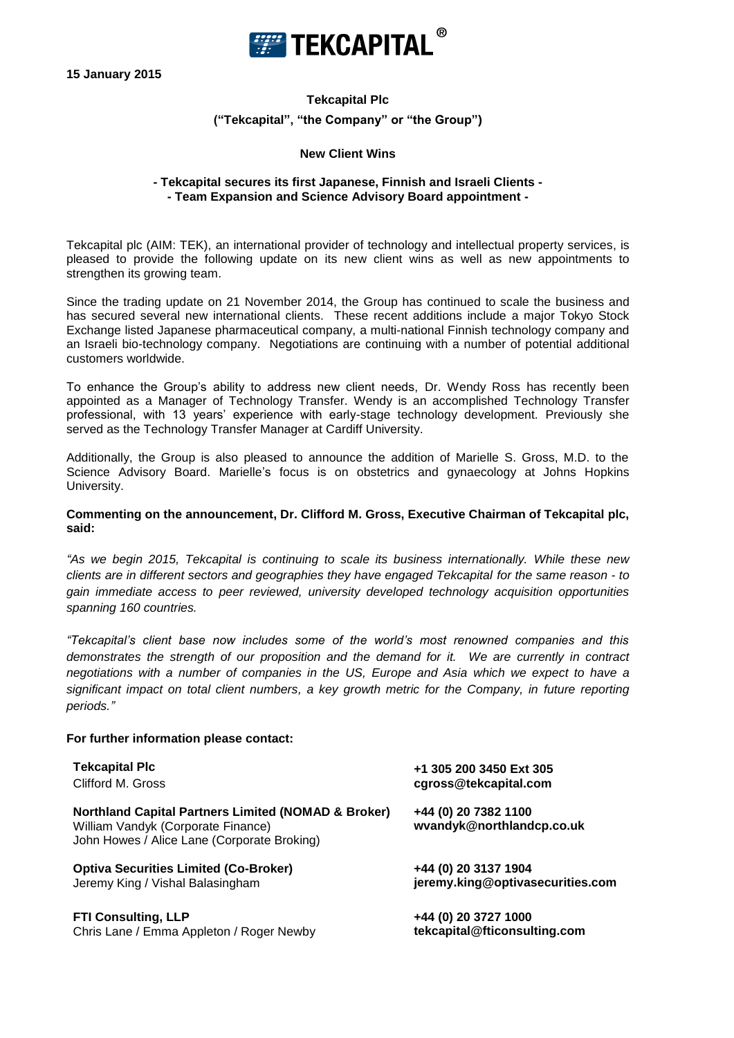

**15 January 2015**

# **Tekcapital Plc ("Tekcapital", "the Company" or "the Group")**

#### **New Client Wins**

### **- Tekcapital secures its first Japanese, Finnish and Israeli Clients - - Team Expansion and Science Advisory Board appointment -**

Tekcapital plc (AIM: TEK), an international provider of technology and intellectual property services, is pleased to provide the following update on its new client wins as well as new appointments to strengthen its growing team.

Since the trading update on 21 November 2014, the Group has continued to scale the business and has secured several new international clients. These recent additions include a major Tokyo Stock Exchange listed Japanese pharmaceutical company, a multi-national Finnish technology company and an Israeli bio-technology company. Negotiations are continuing with a number of potential additional customers worldwide.

To enhance the Group's ability to address new client needs, Dr. Wendy Ross has recently been appointed as a Manager of Technology Transfer. Wendy is an accomplished Technology Transfer professional, with 13 years' experience with early-stage technology development. Previously she served as the Technology Transfer Manager at Cardiff University.

Additionally, the Group is also pleased to announce the addition of Marielle S. Gross, M.D. to the Science Advisory Board. Marielle's focus is on obstetrics and gynaecology at Johns Hopkins University.

#### **Commenting on the announcement, Dr. Clifford M. Gross, Executive Chairman of Tekcapital plc, said:**

*"As we begin 2015, Tekcapital is continuing to scale its business internationally. While these new clients are in different sectors and geographies they have engaged Tekcapital for the same reason - to gain immediate access to peer reviewed, university developed technology acquisition opportunities spanning 160 countries.*

*"Tekcapital's client base now includes some of the world's most renowned companies and this demonstrates the strength of our proposition and the demand for it. We are currently in contract negotiations with a number of companies in the US, Europe and Asia which we expect to have a significant impact on total client numbers, a key growth metric for the Company, in future reporting periods."*

#### **For further information please contact:**

| <b>Tekcapital Plc</b><br>Clifford M. Gross                                       | +1 305 200 3450 Ext 305<br>cgross@tekcapital.com         |
|----------------------------------------------------------------------------------|----------------------------------------------------------|
|                                                                                  |                                                          |
| <b>Optiva Securities Limited (Co-Broker)</b><br>Jeremy King / Vishal Balasingham | +44 (0) 20 3137 1904<br>jeremy.king@optivasecurities.com |

**FTI Consulting, LLP +44 (0) 20 3727 1000** Chris Lane / Emma Appleton / Roger Newby **tekcapital@fticonsulting.com**